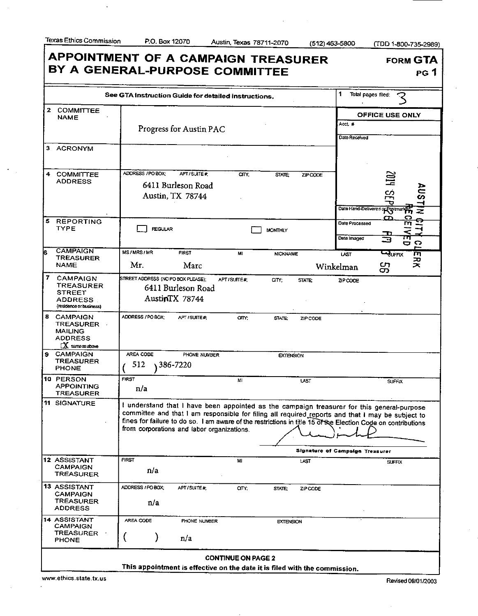$\sim$  $\mathbb{R}^2$  l,

Texas Ethics Commission P.O. Box 12070 Austin, Texas 78711-2070 (512) 463-5800 (TDD 1-800-735-2989)

|                                                                                                  | See GTA Instruction Guide for detailed instructions. |                                                      |            |                  |               | 1                             | Total pages filed:                                                                                                                                                                                                                                                                                             |
|--------------------------------------------------------------------------------------------------|------------------------------------------------------|------------------------------------------------------|------------|------------------|---------------|-------------------------------|----------------------------------------------------------------------------------------------------------------------------------------------------------------------------------------------------------------------------------------------------------------------------------------------------------------|
| 2<br><b>COMMITTEE</b><br><b>NAME</b>                                                             |                                                      | Progress for Austin PAC                              |            |                  |               | Acct #                        | <b>OFFICE USE ONLY</b>                                                                                                                                                                                                                                                                                         |
| 3 ACRONYM                                                                                        |                                                      |                                                      |            |                  |               | Date Received                 |                                                                                                                                                                                                                                                                                                                |
| <b>COMMITTEE</b><br>4<br><b>ADDRESS</b>                                                          | ADDRESS / PO BOX:                                    | APT/SUITE#<br>6411 Burleson Road<br>Austin, TX 78744 | CITY:      | STATE;           | ZIP CODE      |                               | 20I<br><u>တ</u> ု<br>o<br>Date Hand-Delivered of Postmark 2<br>z                                                                                                                                                                                                                                               |
| 5.<br><b>REPORTING</b><br>TYPE                                                                   | <b>REGULAR</b>                                       |                                                      |            | <b>MONTHLY</b>   |               | Date Processed<br>Date Imaged | ഗ<br>гп<br>⊐<br>o o                                                                                                                                                                                                                                                                                            |
| <b>CAMPAIGN</b><br>TREASURER<br>NAME                                                             | <b>MS/MRS/MR</b><br>Mг.                              | <b>FIRST</b><br>Marc                                 | MI         | <b>NICKNAME</b>  |               | <b>LAST</b><br>Winkelman      | <b>CRUFFIX</b><br>m<br>ᅎ<br>ᄎ<br>ဌာ                                                                                                                                                                                                                                                                            |
| 7<br><b>CAMPAIGN</b><br><b>TREASURER</b><br><b>STREET</b><br>ADDRESS<br>(residence or business)  | STREET ADDRESS (NO PO BOX PLEASE);                   | 6411 Burleson Road<br>AustinTX 78744                 | APT/SUITE# | CITY:            | <b>STATE:</b> | ZIP CODE                      |                                                                                                                                                                                                                                                                                                                |
| 8 CAMPAIGN<br><b>TREASURER</b><br><b>MAILING</b><br><b>ADDRESS</b><br>$\mathbf{X}$ same as above | ADDRESS / PO BOX:                                    | APT/SUITE#                                           | CITY:      | <b>STATE</b>     | ZIP CODE      |                               |                                                                                                                                                                                                                                                                                                                |
| <b>CAMPAIGN</b><br><b>TREASURER</b><br><b>PHONE</b>                                              | AREA CODE<br>512                                     | PHONE NUMBER<br>386-7220                             |            | <b>EXTENSION</b> |               |                               |                                                                                                                                                                                                                                                                                                                |
| 10 PERSON<br><b>APPOINTING</b><br>TREASURER                                                      | <b>FIRST</b><br>n/a                                  |                                                      | M          |                  | LAST          |                               | <b>SUFFIX</b>                                                                                                                                                                                                                                                                                                  |
| 11 SIGNATURE                                                                                     |                                                      | from corporations and labor organizations.           |            |                  |               |                               | I understand that I have been appointed as the campaign treasurer for this general-purpose<br>committee and that I am responsible for filing all required reports and that I may be subject to<br>fines for failure to do so. I am aware of the restrictions in title 15 of the Election Code on contributions |
|                                                                                                  |                                                      | <b>Signature of Campaign Treasurer</b>               |            |                  |               |                               |                                                                                                                                                                                                                                                                                                                |
| 12 ASSISTANT<br><b>CAMPAIGN</b><br><b>TREASURER</b>                                              | FIRST<br>n/a                                         |                                                      | M          |                  | LAST          |                               | <b>SUFFIX</b>                                                                                                                                                                                                                                                                                                  |
| 13 ASSISTANT<br><b>CAMPAIGN</b><br><b>TREASURER</b><br><b>ADDRESS</b>                            | ADDRESS / PO BOX:<br>n/a                             | APT/SUITE#                                           | arr;       | STATE:           | ZIP CODE      |                               |                                                                                                                                                                                                                                                                                                                |
| 14 ASSISTANT<br><b>CAMPAIGN</b><br>TREASURER                                                     | AREA CODE<br>ι                                       | PHONE NUMBER<br>n/a                                  |            | <b>EXTENSION</b> |               |                               |                                                                                                                                                                                                                                                                                                                |

www.ethics.state.tx.us Revised 09/01/2003

 $\hat{\boldsymbol{\beta}}$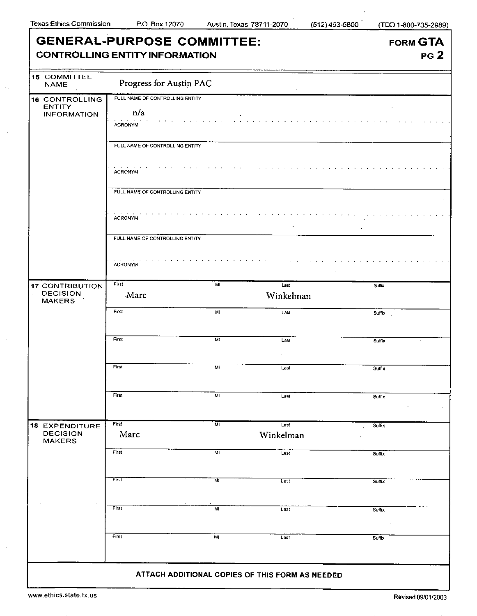$\langle \cdot \rangle_{\star}$ 

 $\hat{\mathcal{A}}$ 

 $\bar{\gamma}$ 

 $\ddot{\phantom{a}}$ 

ı

|                                          | <b>GENERAL-PURPOSE COMMITTEE:</b>     | FORM GTA       |                                                 |                 |  |  |  |
|------------------------------------------|---------------------------------------|----------------|-------------------------------------------------|-----------------|--|--|--|
|                                          | <b>CONTROLLING ENTITY INFORMATION</b> |                |                                                 | PG <sub>2</sub> |  |  |  |
| <b>15 COMMITTEE</b><br><b>NAME</b>       | Progress for Austin PAC               |                |                                                 |                 |  |  |  |
| 16 CONTROLLING                           | FULL NAME OF CONTROLLING ENTITY       |                |                                                 |                 |  |  |  |
| <b>ENTITY</b><br><b>INFORMATION</b>      | n/a                                   |                |                                                 |                 |  |  |  |
|                                          | <b>ACRONYM</b>                        |                |                                                 |                 |  |  |  |
|                                          | FULL NAME OF CONTROLLING ENTITY       |                |                                                 |                 |  |  |  |
|                                          | <b>ACRONYM</b>                        |                |                                                 |                 |  |  |  |
|                                          | FULL NAME OF CONTROLLING ENTITY       |                |                                                 |                 |  |  |  |
|                                          | ACRONYM.                              |                |                                                 |                 |  |  |  |
|                                          |                                       |                |                                                 |                 |  |  |  |
|                                          | FULL NAME OF CONTROLLING ENTITY       |                |                                                 |                 |  |  |  |
|                                          | <b>ACRONYM</b>                        |                |                                                 |                 |  |  |  |
| <b>17 CONTRIBUTION</b>                   | First                                 | MI             | Last                                            | <b>Suffix</b>   |  |  |  |
| <b>DECISION</b><br><b>MAKERS</b>         | Marc                                  |                | Winkelman                                       |                 |  |  |  |
|                                          | First                                 | ML             | Last                                            | Suffix          |  |  |  |
|                                          |                                       |                |                                                 |                 |  |  |  |
|                                          | First                                 | M              | Last                                            | <b>Suffix</b>   |  |  |  |
|                                          | First                                 | MI             | Last                                            |                 |  |  |  |
|                                          |                                       |                |                                                 | Suffix          |  |  |  |
|                                          | First                                 | MI             | Last                                            | Suffix          |  |  |  |
|                                          |                                       |                |                                                 |                 |  |  |  |
| <b>18 EXPENDITURE</b><br><b>DECISION</b> | First<br>Marc                         | мı             | Last<br>Winkelman                               | Suffix          |  |  |  |
| <b>MAKERS</b><br>$\ddot{\phantom{a}}$    | First                                 | MI             |                                                 |                 |  |  |  |
|                                          |                                       |                | Last                                            | Suffix          |  |  |  |
|                                          | First                                 | $\overline{M}$ | Last                                            | Sulfix          |  |  |  |
|                                          | First                                 | MI             | Last                                            | Suffix          |  |  |  |
|                                          |                                       |                |                                                 |                 |  |  |  |
|                                          | First                                 | M <sub>1</sub> | Last                                            | Suffix          |  |  |  |
|                                          |                                       |                |                                                 |                 |  |  |  |
|                                          |                                       |                | ATTACH ADDITIONAL COPIES OF THIS FORM AS NEEDED |                 |  |  |  |

www.ethics.state.tx.us Revised 09/01/2003

 $\cdot$